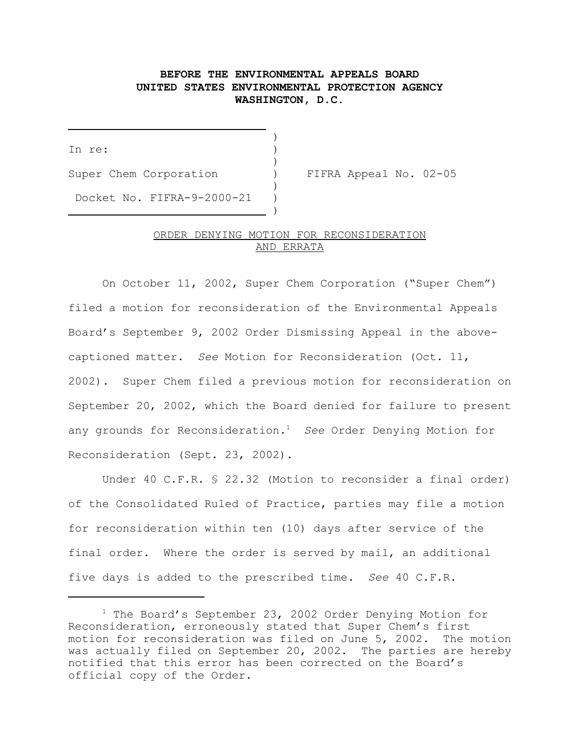## **BEFORE THE ENVIRONMENTAL APPEALS BOARD UNITED STATES ENVIRONMENTAL PROTECTION AGENCY WASHINGTON, D.C.**

)

)

)

In re: )

j.

Super Chem Corporation ) FIFRA Appeal No. 02-05 Docket No. FIFRA-9-2000-21 )

) and the contract of the contract of  $\mathcal{L}$ 

## ORDER DENYING MOTION FOR RECONSIDERATION AND ERRATA

On October 11, 2002, Super Chem Corporation ("Super Chem") filed a motion for reconsideration of the Environmental Appeals Board's September 9, 2002 Order Dismissing Appeal in the abovecaptioned matter. *See* Motion for Reconsideration (Oct. 11, 2002). Super Chem filed a previous motion for reconsideration on September 20, 2002, which the Board denied for failure to present any grounds for Reconsideration.1 *See* Order Denying Motion for Reconsideration (Sept. 23, 2002).

Under 40 C.F.R. § 22.32 (Motion to reconsider a final order) of the Consolidated Ruled of Practice, parties may file a motion for reconsideration within ten (10) days after service of the final order. Where the order is served by mail, an additional five days is added to the prescribed time. *See* 40 C.F.R.

<sup>1</sup> The Board's September 23, 2002 Order Denying Motion for Reconsideration, erroneously stated that Super Chem's first motion for reconsideration was filed on June 5, 2002. The motion was actually filed on September 20, 2002. The parties are hereby notified that this error has been corrected on the Board's official copy of the Order.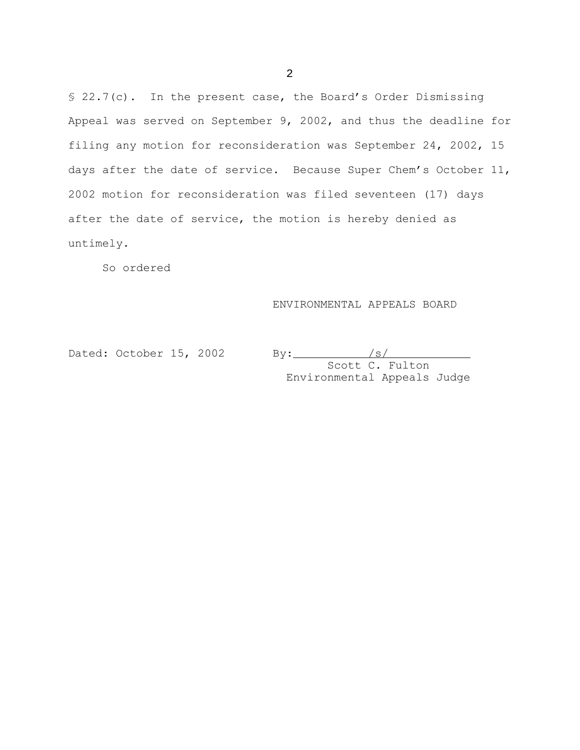§ 22.7(c). In the present case, the Board's Order Dismissing Appeal was served on September 9, 2002, and thus the deadline for filing any motion for reconsideration was September 24, 2002, 15 days after the date of service. Because Super Chem's October 11, 2002 motion for reconsideration was filed seventeen (17) days after the date of service, the motion is hereby denied as untimely.

So ordered

## ENVIRONMENTAL APPEALS BOARD

Dated: October 15, 2002

By:  $\frac{|s|}{s}$  Scott C. Fulton Environmental Appeals Judge